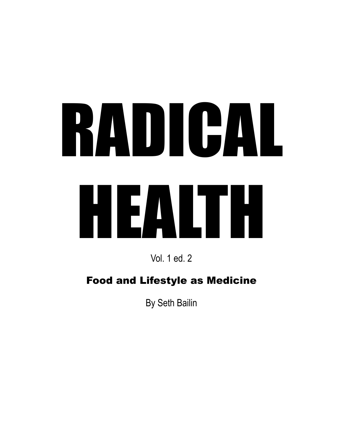# RADICAL HEALTH

Vol. 1 ed. 2

# Food and Lifestyle as Medicine

By Seth Bailin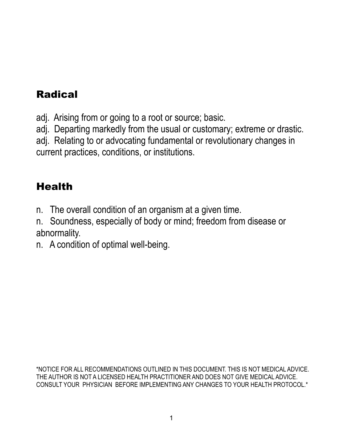# Radical

adj. Arising from or going to a root or source; basic.

adj. Departing markedly from the usual or customary; extreme or drastic.

adj. Relating to or advocating fundamental or revolutionary changes in current practices, conditions, or institutions.

# Health

n. The overall condition of an organism at a given time.

n. Soundness, especially of body or mind; freedom from disease or abnormality.

n. A condition of optimal well-being.

\*NOTICE FOR ALL RECOMMENDATIONS OUTLINED IN THIS DOCUMENT. THIS IS NOT MEDICAL ADVICE. THE AUTHOR IS NOT A LICENSED HEALTH PRACTITIONER AND DOES NOT GIVE MEDICAL ADVICE. CONSULT YOUR PHYSICIAN BEFORE IMPLEMENTING ANY CHANGES TO YOUR HEALTH PROTOCOL.\*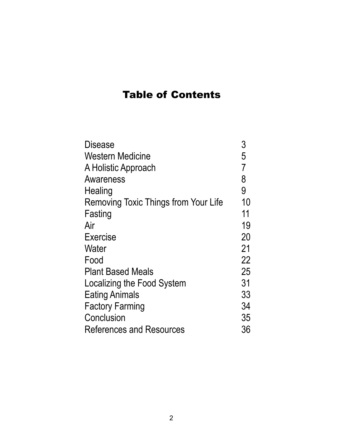#### Table of Contents

| <b>Disease</b>                       | 3              |
|--------------------------------------|----------------|
| <b>Western Medicine</b>              | 5              |
| A Holistic Approach                  | $\overline{7}$ |
| Awareness                            | 8              |
| Healing                              | 9              |
| Removing Toxic Things from Your Life | 10             |
| Fasting                              | 11             |
| Air                                  | 19             |
| Exercise                             | 20             |
| Water                                | 21             |
| Food                                 | 22             |
| <b>Plant Based Meals</b>             | 25             |
| Localizing the Food System           | 31             |
| <b>Eating Animals</b>                | 33             |
| <b>Factory Farming</b>               | 34             |
| Conclusion                           | 35             |
| <b>References and Resources</b>      | 36             |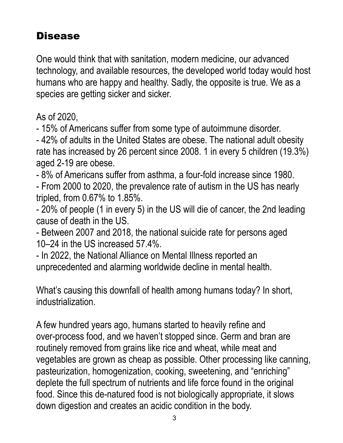# Disease

One would think that with sanitation, modern medicine, our advanced technology, and available resources, the developed world today would host humans who are happy and healthy. Sadly, the opposite is true. We as a species are getting sicker and sicker.

As of 2020,

- 15% of Americans suffer from some type of autoimmune disorder.

- 42% of adults in the United States are obese. The national adult obesity rate has increased by 26 percent since 2008. 1 in every 5 children (19.3%) aged 2-19 are obese.

- 8% of Americans suffer from asthma, a four-fold increase since 1980. - From 2000 to 2020, the prevalence rate of autism in the US has nearly tripled, from 0.67% to 1.85%.

- 20% of people (1 in every 5) in the US will die of cancer, the 2nd leading cause of death in the US.

- Between 2007 and 2018, the national suicide rate for persons aged 10–24 in the US increased 57.4%.

- In 2022, the National Alliance on Mental Illness reported an unprecedented and alarming worldwide decline in mental health.

What's causing this downfall of health among humans today? In short, industrialization.

A few hundred years ago, humans started to heavily refine and over-process food, and we haven't stopped since. Germ and bran are routinely removed from grains like rice and wheat, while meat and vegetables are grown as cheap as possible. Other processing like canning, pasteurization, homogenization, cooking, sweetening, and "enriching" deplete the full spectrum of nutrients and life force found in the original food. Since this de-natured food is not biologically appropriate, it slows down digestion and creates an acidic condition in the body.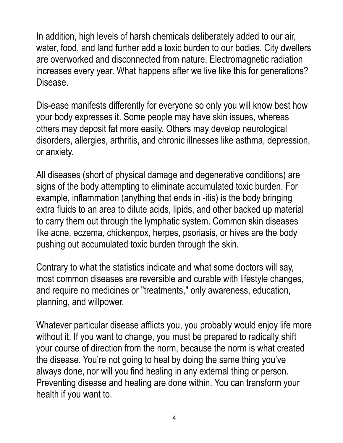In addition, high levels of harsh chemicals deliberately added to our air, water, food, and land further add a toxic burden to our bodies. City dwellers are overworked and disconnected from nature. Electromagnetic radiation increases every year. What happens after we live like this for generations? Disease.

Dis-ease manifests differently for everyone so only you will know best how your body expresses it. Some people may have skin issues, whereas others may deposit fat more easily. Others may develop neurological disorders, allergies, arthritis, and chronic illnesses like asthma, depression, or anxiety.

All diseases (short of physical damage and degenerative conditions) are signs of the body attempting to eliminate accumulated toxic burden. For example, inflammation (anything that ends in -itis) is the body bringing extra fluids to an area to dilute acids, lipids, and other backed up material to carry them out through the lymphatic system. Common skin diseases like acne, eczema, chickenpox, herpes, psoriasis, or hives are the body pushing out accumulated toxic burden through the skin.

Contrary to what the statistics indicate and what some doctors will say, most common diseases are reversible and curable with lifestyle changes, and require no medicines or "treatments," only awareness, education, planning, and willpower.

Whatever particular disease afflicts you, you probably would enjoy life more without it. If you want to change, you must be prepared to radically shift your course of direction from the norm, because the norm is what created the disease. You're not going to heal by doing the same thing you've always done, nor will you find healing in any external thing or person. Preventing disease and healing are done within. You can transform your health if you want to.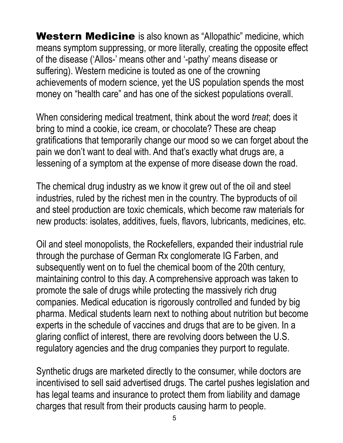Western Medicine is also known as "Allopathic" medicine, which means symptom suppressing, or more literally, creating the opposite effect of the disease ('Allos-' means other and '-pathy' means disease or suffering). Western medicine is touted as one of the crowning achievements of modern science, yet the US population spends the most money on "health care" and has one of the sickest populations overall.

When considering medical treatment, think about the word *treat*; does it bring to mind a cookie, ice cream, or chocolate? These are cheap gratifications that temporarily change our mood so we can forget about the pain we don't want to deal with. And that's exactly what drugs are, a lessening of a symptom at the expense of more disease down the road.

The chemical drug industry as we know it grew out of the oil and steel industries, ruled by the richest men in the country. The byproducts of oil and steel production are toxic chemicals, which become raw materials for new products: isolates, additives, fuels, flavors, lubricants, medicines, etc.

Oil and steel monopolists, the Rockefellers, expanded their industrial rule through the purchase of German Rx conglomerate IG Farben, and subsequently went on to fuel the chemical boom of the 20th century, maintaining control to this day. A comprehensive approach was taken to promote the sale of drugs while protecting the massively rich drug companies. Medical education is rigorously controlled and funded by big pharma. Medical students learn next to nothing about nutrition but become experts in the schedule of vaccines and drugs that are to be given. In a glaring conflict of interest, there are revolving doors between the U.S. regulatory agencies and the drug companies they purport to regulate.

Synthetic drugs are marketed directly to the consumer, while doctors are incentivised to sell said advertised drugs. The cartel pushes legislation and has legal teams and insurance to protect them from liability and damage charges that result from their products causing harm to people.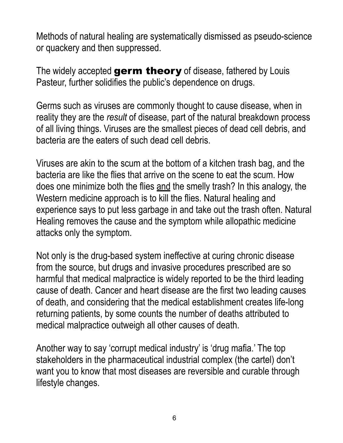Methods of natural healing are systematically dismissed as pseudo-science or quackery and then suppressed.

The widely accepted germ theory of disease, fathered by Louis Pasteur, further solidifies the public's dependence on drugs.

Germs such as viruses are commonly thought to cause disease, when in reality they are the *result* of disease, part of the natural breakdown process of all living things. Viruses are the smallest pieces of dead cell debris, and bacteria are the eaters of such dead cell debris.

Viruses are akin to the scum at the bottom of a kitchen trash bag, and the bacteria are like the flies that arrive on the scene to eat the scum. How does one minimize both the flies and the smelly trash? In this analogy, the Western medicine approach is to kill the flies. Natural healing and experience says to put less garbage in and take out the trash often. Natural Healing removes the cause and the symptom while allopathic medicine attacks only the symptom.

Not only is the drug-based system ineffective at curing chronic disease from the source, but drugs and invasive procedures prescribed are so harmful that medical malpractice is widely reported to be the third leading cause of death. Cancer and heart disease are the first two leading causes of death, and considering that the medical establishment creates life-long returning patients, by some counts the number of deaths attributed to medical malpractice outweigh all other causes of death.

Another way to say 'corrupt medical industry' is 'drug mafia.' The top stakeholders in the pharmaceutical industrial complex (the cartel) don't want you to know that most diseases are reversible and curable through lifestyle changes.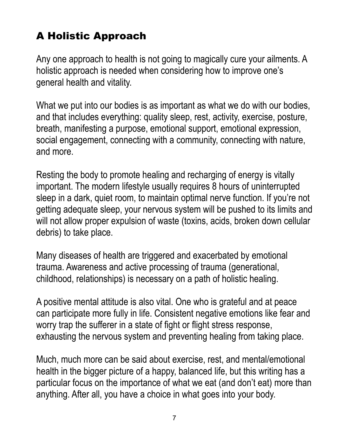# A Holistic Approach

Any one approach to health is not going to magically cure your ailments. A holistic approach is needed when considering how to improve one's general health and vitality.

What we put into our bodies is as important as what we do with our bodies, and that includes everything: quality sleep, rest, activity, exercise, posture, breath, manifesting a purpose, emotional support, emotional expression, social engagement, connecting with a community, connecting with nature, and more.

Resting the body to promote healing and recharging of energy is vitally important. The modern lifestyle usually requires 8 hours of uninterrupted sleep in a dark, quiet room, to maintain optimal nerve function. If you're not getting adequate sleep, your nervous system will be pushed to its limits and will not allow proper expulsion of waste (toxins, acids, broken down cellular debris) to take place.

Many diseases of health are triggered and exacerbated by emotional trauma. Awareness and active processing of trauma (generational, childhood, relationships) is necessary on a path of holistic healing.

A positive mental attitude is also vital. One who is grateful and at peace can participate more fully in life. Consistent negative emotions like fear and worry trap the sufferer in a state of fight or flight stress response, exhausting the nervous system and preventing healing from taking place.

Much, much more can be said about exercise, rest, and mental/emotional health in the bigger picture of a happy, balanced life, but this writing has a particular focus on the importance of what we eat (and don't eat) more than anything. After all, you have a choice in what goes into your body.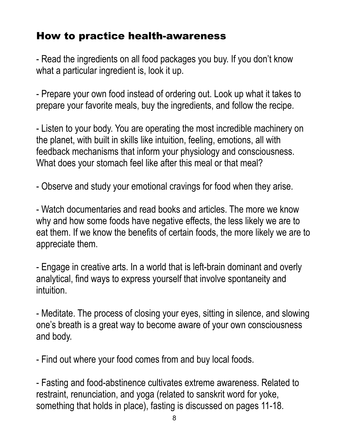## How to practice health-awareness

- Read the ingredients on all food packages you buy. If you don't know what a particular ingredient is, look it up.

- Prepare your own food instead of ordering out. Look up what it takes to prepare your favorite meals, buy the ingredients, and follow the recipe.

- Listen to your body. You are operating the most incredible machinery on the planet, with built in skills like intuition, feeling, emotions, all with feedback mechanisms that inform your physiology and consciousness. What does your stomach feel like after this meal or that meal?

- Observe and study your emotional cravings for food when they arise.

- Watch documentaries and read books and articles. The more we know why and how some foods have negative effects, the less likely we are to eat them. If we know the benefits of certain foods, the more likely we are to appreciate them.

- Engage in creative arts. In a world that is left-brain dominant and overly analytical, find ways to express yourself that involve spontaneity and intuition.

- Meditate. The process of closing your eyes, sitting in silence, and slowing one's breath is a great way to become aware of your own consciousness and body.

- Find out where your food comes from and buy local foods.

- Fasting and food-abstinence cultivates extreme awareness. Related to restraint, renunciation, and yoga (related to sanskrit word for yoke, something that holds in place), fasting is discussed on pages 11-18.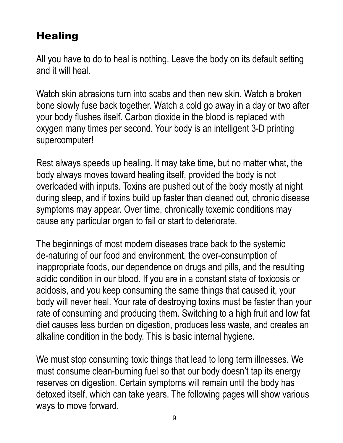# **Healing**

All you have to do to heal is nothing. Leave the body on its default setting and it will heal.

Watch skin abrasions turn into scabs and then new skin. Watch a broken bone slowly fuse back together. Watch a cold go away in a day or two after your body flushes itself. Carbon dioxide in the blood is replaced with oxygen many times per second. Your body is an intelligent 3-D printing supercomputer!

Rest always speeds up healing. It may take time, but no matter what, the body always moves toward healing itself, provided the body is not overloaded with inputs. Toxins are pushed out of the body mostly at night during sleep, and if toxins build up faster than cleaned out, chronic disease symptoms may appear. Over time, chronically toxemic conditions may cause any particular organ to fail or start to deteriorate.

The beginnings of most modern diseases trace back to the systemic de-naturing of our food and environment, the over-consumption of inappropriate foods, our dependence on drugs and pills, and the resulting acidic condition in our blood. If you are in a constant state of toxicosis or acidosis, and you keep consuming the same things that caused it, your body will never heal. Your rate of destroying toxins must be faster than your rate of consuming and producing them. Switching to a high fruit and low fat diet causes less burden on digestion, produces less waste, and creates an alkaline condition in the body. This is basic internal hygiene.

We must stop consuming toxic things that lead to long term illnesses. We must consume clean-burning fuel so that our body doesn't tap its energy reserves on digestion. Certain symptoms will remain until the body has detoxed itself, which can take years. The following pages will show various ways to move forward.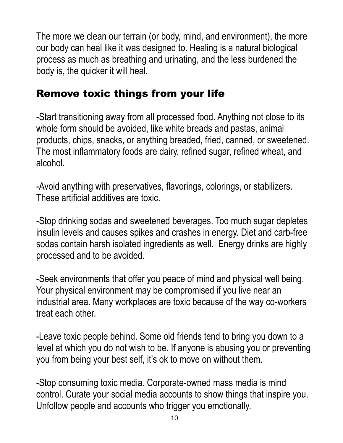The more we clean our terrain (or body, mind, and environment), the more our body can heal like it was designed to. Healing is a natural biological process as much as breathing and urinating, and the less burdened the body is, the quicker it will heal.

#### Remove toxic things from your life

-Start transitioning away from all processed food. Anything not close to its whole form should be avoided, like white breads and pastas, animal products, chips, snacks, or anything breaded, fried, canned, or sweetened. The most inflammatory foods are dairy, refined sugar, refined wheat, and alcohol.

-Avoid anything with preservatives, flavorings, colorings, or stabilizers. These artificial additives are toxic.

-Stop drinking sodas and sweetened beverages. Too much sugar depletes insulin levels and causes spikes and crashes in energy. Diet and carb-free sodas contain harsh isolated ingredients as well. Energy drinks are highly processed and to be avoided.

-Seek environments that offer you peace of mind and physical well being. Your physical environment may be compromised if you live near an industrial area. Many workplaces are toxic because of the way co-workers treat each other.

-Leave toxic people behind. Some old friends tend to bring you down to a level at which you do not wish to be. If anyone is abusing you or preventing you from being your best self, it's ok to move on without them.

-Stop consuming toxic media. Corporate-owned mass media is mind control. Curate your social media accounts to show things that inspire you. Unfollow people and accounts who trigger you emotionally.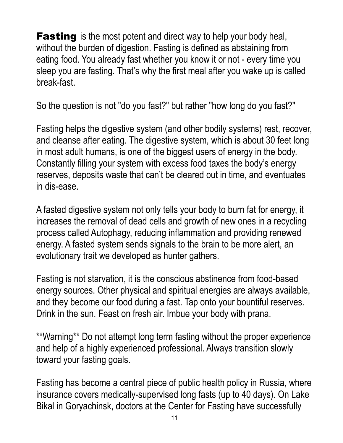**Fasting** is the most potent and direct way to help your body heal, without the burden of digestion. Fasting is defined as abstaining from eating food. You already fast whether you know it or not - every time you sleep you are fasting. That's why the first meal after you wake up is called break-fast.

So the question is not "do you fast?" but rather "how long do you fast?"

Fasting helps the digestive system (and other bodily systems) rest, recover, and cleanse after eating. The digestive system, which is about 30 feet long in most adult humans, is one of the biggest users of energy in the body. Constantly filling your system with excess food taxes the body's energy reserves, deposits waste that can't be cleared out in time, and eventuates in dis-ease.

A fasted digestive system not only tells your body to burn fat for energy, it increases the removal of dead cells and growth of new ones in a recycling process called Autophagy, reducing inflammation and providing renewed energy. A fasted system sends signals to the brain to be more alert, an evolutionary trait we developed as hunter gathers.

Fasting is not starvation, it is the conscious abstinence from food-based energy sources. Other physical and spiritual energies are always available, and they become our food during a fast. Tap onto your bountiful reserves. Drink in the sun. Feast on fresh air. Imbue your body with prana.

\*\*Warning\*\* Do not attempt long term fasting without the proper experience and help of a highly experienced professional. Always transition slowly toward your fasting goals.

Fasting has become a central piece of public health policy in Russia, where insurance covers medically-supervised long fasts (up to 40 days). On Lake Bikal in Goryachinsk, doctors at the Center for Fasting have successfully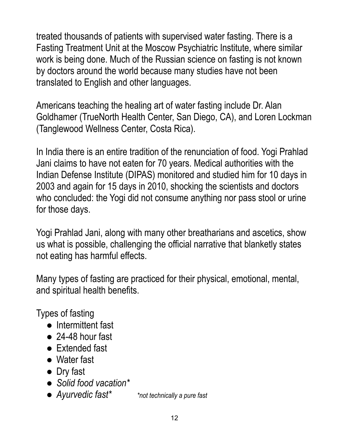treated thousands of patients with supervised water fasting. There is a Fasting Treatment Unit at the Moscow Psychiatric Institute, where similar work is being done. Much of the Russian science on fasting is not known by doctors around the world because many studies have not been translated to English and other languages.

Americans teaching the healing art of water fasting include Dr. Alan Goldhamer (TrueNorth Health Center, San Diego, CA), and Loren Lockman (Tanglewood Wellness Center, Costa Rica).

In India there is an entire tradition of the renunciation of food. Yogi Prahlad Jani claims to have not eaten for 70 years. Medical authorities with the Indian Defense Institute (DIPAS) monitored and studied him for 10 days in 2003 and again for 15 days in 2010, shocking the scientists and doctors who concluded: the Yogi did not consume anything nor pass stool or urine for those days.

Yogi Prahlad Jani, along with many other breatharians and ascetics, show us what is possible, challenging the official narrative that blanketly states not eating has harmful effects.

Many types of fasting are practiced for their physical, emotional, mental, and spiritual health benefits.

Types of fasting

- Intermittent fast
- $\bullet$  24-48 hour fast
- Extended fast
- Water fast
- Dry fast
- *● Solid food vacation\**
- *● Ayurvedic fast\* \*not technically a pure fast*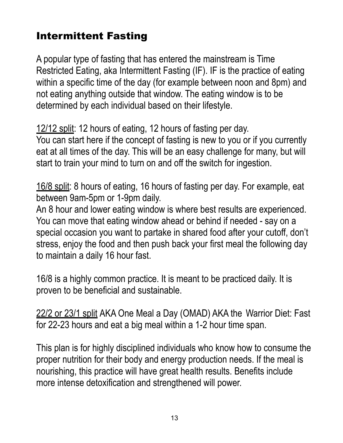# Intermittent Fasting

A popular type of fasting that has entered the mainstream is Time Restricted Eating, aka Intermittent Fasting (IF). IF is the practice of eating within a specific time of the day (for example between noon and 8pm) and not eating anything outside that window. The eating window is to be determined by each individual based on their lifestyle.

12/12 split: 12 hours of eating, 12 hours of fasting per day.

You can start here if the concept of fasting is new to you or if you currently eat at all times of the day. This will be an easy challenge for many, but will start to train your mind to turn on and off the switch for ingestion.

16/8 split: 8 hours of eating, 16 hours of fasting per day. For example, eat between 9am-5pm or 1-9pm daily.

An 8 hour and lower eating window is where best results are experienced. You can move that eating window ahead or behind if needed - say on a special occasion you want to partake in shared food after your cutoff, don't stress, enjoy the food and then push back your first meal the following day to maintain a daily 16 hour fast.

16/8 is a highly common practice. It is meant to be practiced daily. It is proven to be beneficial and sustainable.

22/2 or 23/1 split AKA One Meal a Day (OMAD) AKA the Warrior Diet: Fast for 22-23 hours and eat a big meal within a 1-2 hour time span.

This plan is for highly disciplined individuals who know how to consume the proper nutrition for their body and energy production needs. If the meal is nourishing, this practice will have great health results. Benefits include more intense detoxification and strengthened will power.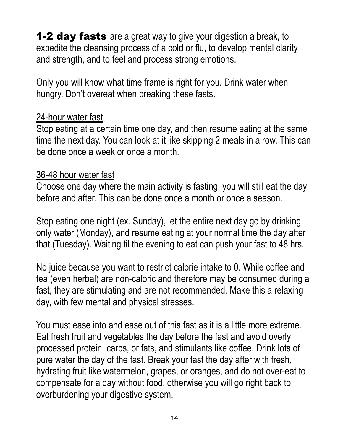**1-2 day fasts** are a great way to give your digestion a break, to expedite the cleansing process of a cold or flu, to develop mental clarity and strength, and to feel and process strong emotions.

Only you will know what time frame is right for you. Drink water when hungry. Don't overeat when breaking these fasts.

#### 24-hour water fast

Stop eating at a certain time one day, and then resume eating at the same time the next day. You can look at it like skipping 2 meals in a row. This can be done once a week or once a month.

#### 36-48 hour water fast

Choose one day where the main activity is fasting; you will still eat the day before and after. This can be done once a month or once a season.

Stop eating one night (ex. Sunday), let the entire next day go by drinking only water (Monday), and resume eating at your normal time the day after that (Tuesday). Waiting til the evening to eat can push your fast to 48 hrs.

No juice because you want to restrict calorie intake to 0. While coffee and tea (even herbal) are non-caloric and therefore may be consumed during a fast, they are stimulating and are not recommended. Make this a relaxing day, with few mental and physical stresses.

You must ease into and ease out of this fast as it is a little more extreme. Eat fresh fruit and vegetables the day before the fast and avoid overly processed protein, carbs, or fats, and stimulants like coffee. Drink lots of pure water the day of the fast. Break your fast the day after with fresh, hydrating fruit like watermelon, grapes, or oranges, and do not over-eat to compensate for a day without food, otherwise you will go right back to overburdening your digestive system.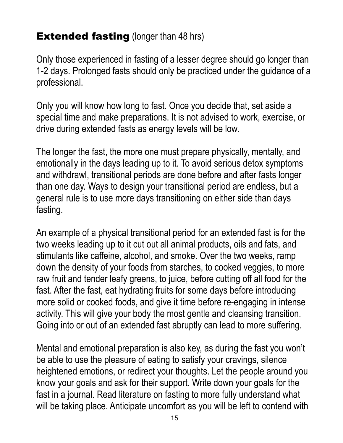#### **Extended fasting (longer than 48 hrs)**

Only those experienced in fasting of a lesser degree should go longer than 1-2 days. Prolonged fasts should only be practiced under the guidance of a professional.

Only you will know how long to fast. Once you decide that, set aside a special time and make preparations. It is not advised to work, exercise, or drive during extended fasts as energy levels will be low.

The longer the fast, the more one must prepare physically, mentally, and emotionally in the days leading up to it. To avoid serious detox symptoms and withdrawl, transitional periods are done before and after fasts longer than one day. Ways to design your transitional period are endless, but a general rule is to use more days transitioning on either side than days fasting.

An example of a physical transitional period for an extended fast is for the two weeks leading up to it cut out all animal products, oils and fats, and stimulants like caffeine, alcohol, and smoke. Over the two weeks, ramp down the density of your foods from starches, to cooked veggies, to more raw fruit and tender leafy greens, to juice, before cutting off all food for the fast. After the fast, eat hydrating fruits for some days before introducing more solid or cooked foods, and give it time before re-engaging in intense activity. This will give your body the most gentle and cleansing transition. Going into or out of an extended fast abruptly can lead to more suffering.

Mental and emotional preparation is also key, as during the fast you won't be able to use the pleasure of eating to satisfy your cravings, silence heightened emotions, or redirect your thoughts. Let the people around you know your goals and ask for their support. Write down your goals for the fast in a journal. Read literature on fasting to more fully understand what will be taking place. Anticipate uncomfort as you will be left to contend with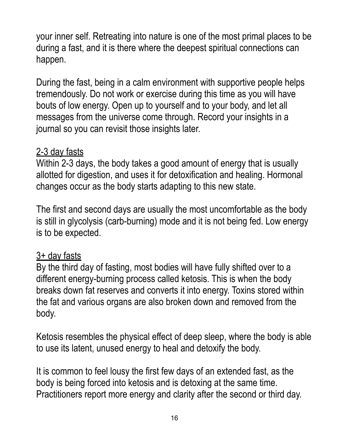your inner self. Retreating into nature is one of the most primal places to be during a fast, and it is there where the deepest spiritual connections can happen.

During the fast, being in a calm environment with supportive people helps tremendously. Do not work or exercise during this time as you will have bouts of low energy. Open up to yourself and to your body, and let all messages from the universe come through. Record your insights in a journal so you can revisit those insights later.

#### 2-3 day fasts

Within 2-3 days, the body takes a good amount of energy that is usually allotted for digestion, and uses it for detoxification and healing. Hormonal changes occur as the body starts adapting to this new state.

The first and second days are usually the most uncomfortable as the body is still in glycolysis (carb-burning) mode and it is not being fed. Low energy is to be expected.

#### 3+ day fasts

By the third day of fasting, most bodies will have fully shifted over to a different energy-burning process called ketosis. This is when the body breaks down fat reserves and converts it into energy. Toxins stored within the fat and various organs are also broken down and removed from the body.

Ketosis resembles the physical effect of deep sleep, where the body is able to use its latent, unused energy to heal and detoxify the body.

It is common to feel lousy the first few days of an extended fast, as the body is being forced into ketosis and is detoxing at the same time. Practitioners report more energy and clarity after the second or third day.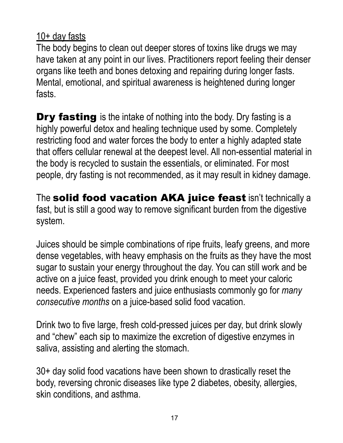#### 10+ day fasts

The body begins to clean out deeper stores of toxins like drugs we may have taken at any point in our lives. Practitioners report feeling their denser organs like teeth and bones detoxing and repairing during longer fasts. Mental, emotional, and spiritual awareness is heightened during longer fasts.

**Dry fasting** is the intake of nothing into the body. Dry fasting is a highly powerful detox and healing technique used by some. Completely restricting food and water forces the body to enter a highly adapted state that offers cellular renewal at the deepest level. All non-essential material in the body is recycled to sustain the essentials, or eliminated. For most people, dry fasting is not recommended, as it may result in kidney damage.

The solid food vacation AKA juice feast isn't technically a fast, but is still a good way to remove significant burden from the digestive system.

Juices should be simple combinations of ripe fruits, leafy greens, and more dense vegetables, with heavy emphasis on the fruits as they have the most sugar to sustain your energy throughout the day. You can still work and be active on a juice feast, provided you drink enough to meet your caloric needs. Experienced fasters and juice enthusiasts commonly go for *many consecutive months* on a juice-based solid food vacation.

Drink two to five large, fresh cold-pressed juices per day, but drink slowly and "chew" each sip to maximize the excretion of digestive enzymes in saliva, assisting and alerting the stomach.

30+ day solid food vacations have been shown to drastically reset the body, reversing chronic diseases like type 2 diabetes, obesity, allergies, skin conditions, and asthma.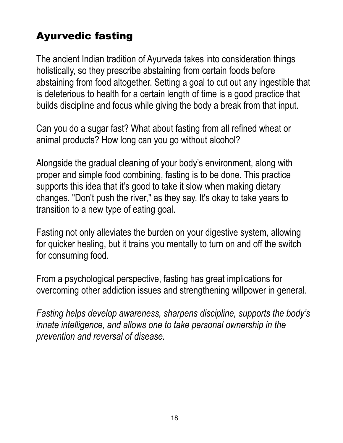# Ayurvedic fasting

The ancient Indian tradition of Ayurveda takes into consideration things holistically, so they prescribe abstaining from certain foods before abstaining from food altogether. Setting a goal to cut out any ingestible that is deleterious to health for a certain length of time is a good practice that builds discipline and focus while giving the body a break from that input.

Can you do a sugar fast? What about fasting from all refined wheat or animal products? How long can you go without alcohol?

Alongside the gradual cleaning of your body's environment, along with proper and simple food combining, fasting is to be done. This practice supports this idea that it's good to take it slow when making dietary changes. "Don't push the river," as they say. It's okay to take years to transition to a new type of eating goal.

Fasting not only alleviates the burden on your digestive system, allowing for quicker healing, but it trains you mentally to turn on and off the switch for consuming food.

From a psychological perspective, fasting has great implications for overcoming other addiction issues and strengthening willpower in general.

*Fasting helps develop awareness, sharpens discipline, supports the body's innate intelligence, and allows one to take personal ownership in the prevention and reversal of disease.*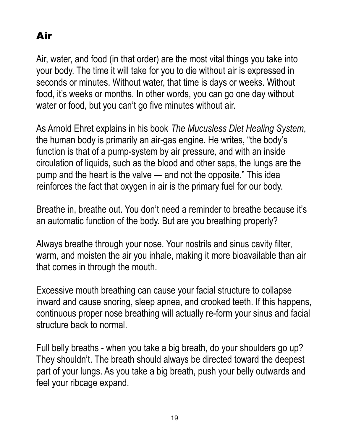# Air

Air, water, and food (in that order) are the most vital things you take into your body. The time it will take for you to die without air is expressed in seconds or minutes. Without water, that time is days or weeks. Without food, it's weeks or months. In other words, you can go one day without water or food, but you can't go five minutes without air.

As Arnold Ehret explains in his book *The Mucusless Diet Healing System*, the human body is primarily an air-gas engine. He writes, "the body's function is that of a pump-system by air pressure, and with an inside circulation of liquids, such as the blood and other saps, the lungs are the pump and the heart is the valve — and not the opposite." This idea reinforces the fact that oxygen in air is the primary fuel for our body.

Breathe in, breathe out. You don't need a reminder to breathe because it's an automatic function of the body. But are you breathing properly?

Always breathe through your nose. Your nostrils and sinus cavity filter, warm, and moisten the air you inhale, making it more bioavailable than air that comes in through the mouth.

Excessive mouth breathing can cause your facial structure to collapse inward and cause snoring, sleep apnea, and crooked teeth. If this happens, continuous proper nose breathing will actually re-form your sinus and facial structure back to normal.

Full belly breaths - when you take a big breath, do your shoulders go up? They shouldn't. The breath should always be directed toward the deepest part of your lungs. As you take a big breath, push your belly outwards and feel your ribcage expand.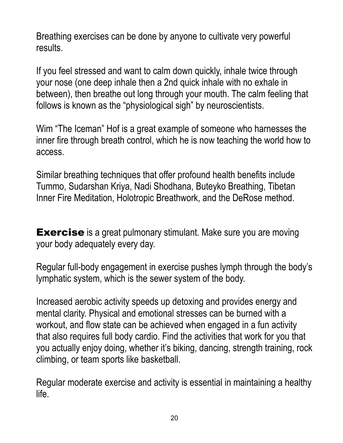Breathing exercises can be done by anyone to cultivate very powerful results.

If you feel stressed and want to calm down quickly, inhale twice through your nose (one deep inhale then a 2nd quick inhale with no exhale in between), then breathe out long through your mouth. The calm feeling that follows is known as the "physiological sigh" by neuroscientists.

Wim "The Iceman" Hof is a great example of someone who harnesses the inner fire through breath control, which he is now teaching the world how to access.

Similar breathing techniques that offer profound health benefits include Tummo, Sudarshan Kriya, Nadi Shodhana, Buteyko Breathing, Tibetan Inner Fire Meditation, Holotropic Breathwork, and the DeRose method.

**Exercise** is a great pulmonary stimulant. Make sure you are moving your body adequately every day.

Regular full-body engagement in exercise pushes lymph through the body's lymphatic system, which is the sewer system of the body.

Increased aerobic activity speeds up detoxing and provides energy and mental clarity. Physical and emotional stresses can be burned with a workout, and flow state can be achieved when engaged in a fun activity that also requires full body cardio. Find the activities that work for you that you actually enjoy doing, whether it's biking, dancing, strength training, rock climbing, or team sports like basketball.

Regular moderate exercise and activity is essential in maintaining a healthy life.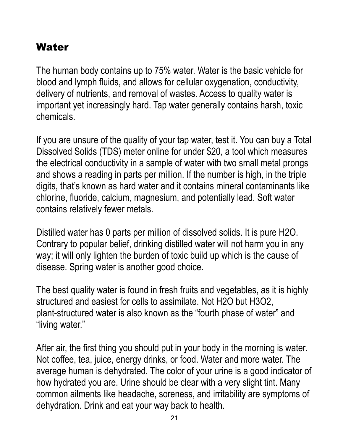### Water

The human body contains up to 75% water. Water is the basic vehicle for blood and lymph fluids, and allows for cellular oxygenation, conductivity, delivery of nutrients, and removal of wastes. Access to quality water is important yet increasingly hard. Tap water generally contains harsh, toxic chemicals.

If you are unsure of the quality of your tap water, test it. You can buy a Total Dissolved Solids (TDS) meter online for under \$20, a tool which measures the electrical conductivity in a sample of water with two small metal prongs and shows a reading in parts per million. If the number is high, in the triple digits, that's known as hard water and it contains mineral contaminants like chlorine, fluoride, calcium, magnesium, and potentially lead. Soft water contains relatively fewer metals.

Distilled water has 0 parts per million of dissolved solids. It is pure H2O. Contrary to popular belief, drinking distilled water will not harm you in any way; it will only lighten the burden of toxic build up which is the cause of disease. Spring water is another good choice.

The best quality water is found in fresh fruits and vegetables, as it is highly structured and easiest for cells to assimilate. Not H2O but H3O2, plant-structured water is also known as the "fourth phase of water" and "living water."

After air, the first thing you should put in your body in the morning is water. Not coffee, tea, juice, energy drinks, or food. Water and more water. The average human is dehydrated. The color of your urine is a good indicator of how hydrated you are. Urine should be clear with a very slight tint. Many common ailments like headache, soreness, and irritability are symptoms of dehydration. Drink and eat your way back to health.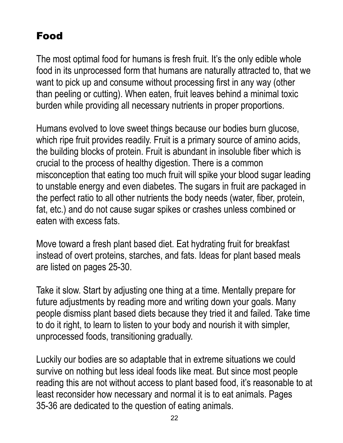## Food

The most optimal food for humans is fresh fruit. It's the only edible whole food in its unprocessed form that humans are naturally attracted to, that we want to pick up and consume without processing first in any way (other than peeling or cutting). When eaten, fruit leaves behind a minimal toxic burden while providing all necessary nutrients in proper proportions.

Humans evolved to love sweet things because our bodies burn glucose, which ripe fruit provides readily. Fruit is a primary source of amino acids, the building blocks of protein. Fruit is abundant in insoluble fiber which is crucial to the process of healthy digestion. There is a common misconception that eating too much fruit will spike your blood sugar leading to unstable energy and even diabetes. The sugars in fruit are packaged in the perfect ratio to all other nutrients the body needs (water, fiber, protein, fat, etc.) and do not cause sugar spikes or crashes unless combined or eaten with excess fats.

Move toward a fresh plant based diet. Eat hydrating fruit for breakfast instead of overt proteins, starches, and fats. Ideas for plant based meals are listed on pages 25-30.

Take it slow. Start by adjusting one thing at a time. Mentally prepare for future adjustments by reading more and writing down your goals. Many people dismiss plant based diets because they tried it and failed. Take time to do it right, to learn to listen to your body and nourish it with simpler, unprocessed foods, transitioning gradually.

Luckily our bodies are so adaptable that in extreme situations we could survive on nothing but less ideal foods like meat. But since most people reading this are not without access to plant based food, it's reasonable to at least reconsider how necessary and normal it is to eat animals. Pages 35-36 are dedicated to the question of eating animals.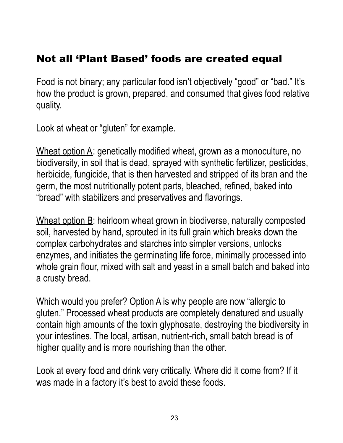#### Not all 'Plant Based' foods are created equal

Food is not binary; any particular food isn't objectively "good" or "bad." It's how the product is grown, prepared, and consumed that gives food relative quality.

Look at wheat or "gluten" for example.

Wheat option A: genetically modified wheat, grown as a monoculture, no biodiversity, in soil that is dead, sprayed with synthetic fertilizer, pesticides, herbicide, fungicide, that is then harvested and stripped of its bran and the germ, the most nutritionally potent parts, bleached, refined, baked into "bread" with stabilizers and preservatives and flavorings.

Wheat option B: heirloom wheat grown in biodiverse, naturally composted soil, harvested by hand, sprouted in its full grain which breaks down the complex carbohydrates and starches into simpler versions, unlocks enzymes, and initiates the germinating life force, minimally processed into whole grain flour, mixed with salt and yeast in a small batch and baked into a crusty bread.

Which would you prefer? Option A is why people are now "allergic to gluten." Processed wheat products are completely denatured and usually contain high amounts of the toxin glyphosate, destroying the biodiversity in your intestines. The local, artisan, nutrient-rich, small batch bread is of higher quality and is more nourishing than the other.

Look at every food and drink very critically. Where did it come from? If it was made in a factory it's best to avoid these foods.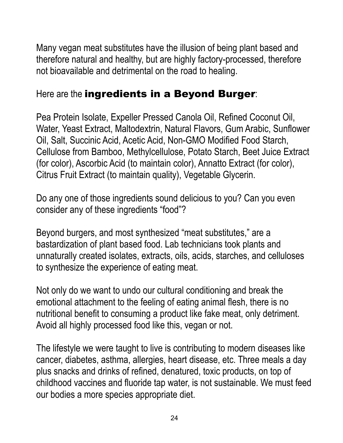Many vegan meat substitutes have the illusion of being plant based and therefore natural and healthy, but are highly factory-processed, therefore not bioavailable and detrimental on the road to healing.

#### Here are the ingredients in a Beyond Burger:

Pea Protein Isolate, Expeller Pressed Canola Oil, Refined Coconut Oil, Water, Yeast Extract, Maltodextrin, Natural Flavors, Gum Arabic, Sunflower Oil, Salt, Succinic Acid, Acetic Acid, Non-GMO Modified Food Starch, Cellulose from Bamboo, Methylcellulose, Potato Starch, Beet Juice Extract (for color), Ascorbic Acid (to maintain color), Annatto Extract (for color), Citrus Fruit Extract (to maintain quality), Vegetable Glycerin.

Do any one of those ingredients sound delicious to you? Can you even consider any of these ingredients "food"?

Beyond burgers, and most synthesized "meat substitutes," are a bastardization of plant based food. Lab technicians took plants and unnaturally created isolates, extracts, oils, acids, starches, and celluloses to synthesize the experience of eating meat.

Not only do we want to undo our cultural conditioning and break the emotional attachment to the feeling of eating animal flesh, there is no nutritional benefit to consuming a product like fake meat, only detriment. Avoid all highly processed food like this, vegan or not.

The lifestyle we were taught to live is contributing to modern diseases like cancer, diabetes, asthma, allergies, heart disease, etc. Three meals a day plus snacks and drinks of refined, denatured, toxic products, on top of childhood vaccines and fluoride tap water, is not sustainable. We must feed our bodies a more species appropriate diet.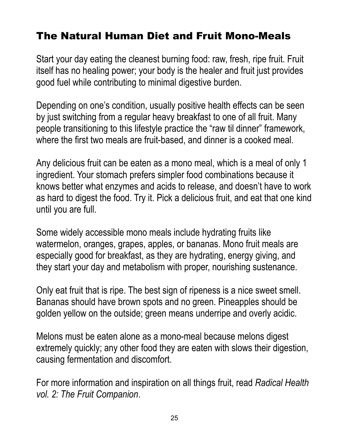## The Natural Human Diet and Fruit Mono-Meals

Start your day eating the cleanest burning food: raw, fresh, ripe fruit. Fruit itself has no healing power; your body is the healer and fruit just provides good fuel while contributing to minimal digestive burden.

Depending on one's condition, usually positive health effects can be seen by just switching from a regular heavy breakfast to one of all fruit. Many people transitioning to this lifestyle practice the "raw til dinner" framework, where the first two meals are fruit-based, and dinner is a cooked meal.

Any delicious fruit can be eaten as a mono meal, which is a meal of only 1 ingredient. Your stomach prefers simpler food combinations because it knows better what enzymes and acids to release, and doesn't have to work as hard to digest the food. Try it. Pick a delicious fruit, and eat that one kind until you are full.

Some widely accessible mono meals include hydrating fruits like watermelon, oranges, grapes, apples, or bananas. Mono fruit meals are especially good for breakfast, as they are hydrating, energy giving, and they start your day and metabolism with proper, nourishing sustenance.

Only eat fruit that is ripe. The best sign of ripeness is a nice sweet smell. Bananas should have brown spots and no green. Pineapples should be golden yellow on the outside; green means underripe and overly acidic.

Melons must be eaten alone as a mono-meal because melons digest extremely quickly; any other food they are eaten with slows their digestion, causing fermentation and discomfort.

For more information and inspiration on all things fruit, read *Radical Health vol. 2: The Fruit Companion*.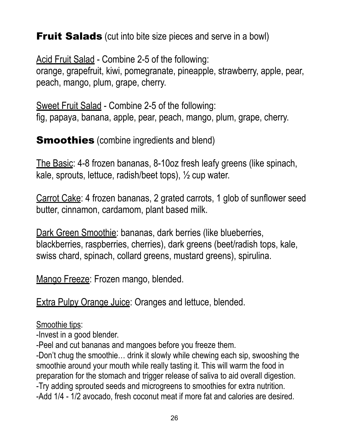**Fruit Salads** (cut into bite size pieces and serve in a bowl)

Acid Fruit Salad - Combine 2-5 of the following: orange, grapefruit, kiwi, pomegranate, pineapple, strawberry, apple, pear, peach, mango, plum, grape, cherry.

Sweet Fruit Salad - Combine 2-5 of the following: fig, papaya, banana, apple, pear, peach, mango, plum, grape, cherry.

**Smoothies** (combine ingredients and blend)

The Basic: 4-8 frozen bananas, 8-10oz fresh leafy greens (like spinach, kale, sprouts, lettuce, radish/beet tops), ½ cup water.

Carrot Cake: 4 frozen bananas, 2 grated carrots, 1 glob of sunflower seed butter, cinnamon, cardamom, plant based milk.

Dark Green Smoothie: bananas, dark berries (like blueberries, blackberries, raspberries, cherries), dark greens (beet/radish tops, kale, swiss chard, spinach, collard greens, mustard greens), spirulina.

Mango Freeze: Frozen mango, blended.

Extra Pulpy Orange Juice: Oranges and lettuce, blended.

Smoothie tips:

-Invest in a good blender.

-Peel and cut bananas and mangoes before you freeze them.

-Don't chug the smoothie… drink it slowly while chewing each sip, swooshing the smoothie around your mouth while really tasting it. This will warm the food in preparation for the stomach and trigger release of saliva to aid overall digestion. -Try adding sprouted seeds and microgreens to smoothies for extra nutrition. -Add 1/4 - 1/2 avocado, fresh coconut meat if more fat and calories are desired.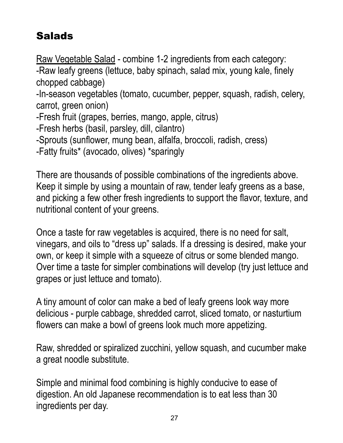# **Salads**

Raw Vegetable Salad - combine 1-2 ingredients from each category: -Raw leafy greens (lettuce, baby spinach, salad mix, young kale, finely chopped cabbage) -In-season vegetables (tomato, cucumber, pepper, squash, radish, celery, carrot, green onion) -Fresh fruit (grapes, berries, mango, apple, citrus) -Fresh herbs (basil, parsley, dill, cilantro) -Sprouts (sunflower, mung bean, alfalfa, broccoli, radish, cress) -Fatty fruits\* (avocado, olives) \*sparingly

There are thousands of possible combinations of the ingredients above. Keep it simple by using a mountain of raw, tender leafy greens as a base, and picking a few other fresh ingredients to support the flavor, texture, and nutritional content of your greens.

Once a taste for raw vegetables is acquired, there is no need for salt, vinegars, and oils to "dress up" salads. If a dressing is desired, make your own, or keep it simple with a squeeze of citrus or some blended mango. Over time a taste for simpler combinations will develop (try just lettuce and grapes or just lettuce and tomato).

A tiny amount of color can make a bed of leafy greens look way more delicious - purple cabbage, shredded carrot, sliced tomato, or nasturtium flowers can make a bowl of greens look much more appetizing.

Raw, shredded or spiralized zucchini, yellow squash, and cucumber make a great noodle substitute.

Simple and minimal food combining is highly conducive to ease of digestion. An old Japanese recommendation is to eat less than 30 ingredients per day.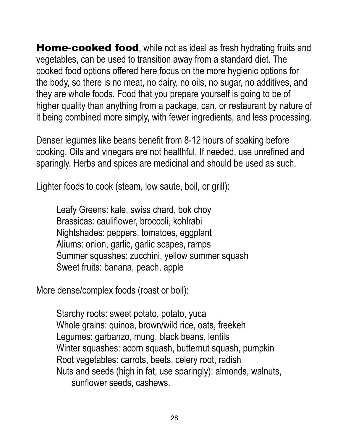Home-cooked food, while not as ideal as fresh hydrating fruits and vegetables, can be used to transition away from a standard diet. The cooked food options offered here focus on the more hygienic options for the body, so there is no meat, no dairy, no oils, no sugar, no additives, and they are whole foods. Food that you prepare yourself is going to be of higher quality than anything from a package, can, or restaurant by nature of it being combined more simply, with fewer ingredients, and less processing.

Denser legumes like beans benefit from 8-12 hours of soaking before cooking. Oils and vinegars are not healthful. If needed, use unrefined and sparingly. Herbs and spices are medicinal and should be used as such.

Lighter foods to cook (steam, low saute, boil, or grill):

Leafy Greens: kale, swiss chard, bok choy Brassicas: cauliflower, broccoli, kohlrabi Nightshades: peppers, tomatoes, eggplant Aliums: onion, garlic, garlic scapes, ramps Summer squashes: zucchini, yellow summer squash Sweet fruits: banana, peach, apple

More dense/complex foods (roast or boil):

Starchy roots: sweet potato, potato, yuca Whole grains: quinoa, brown/wild rice, oats, freekeh Legumes: garbanzo, mung, black beans, lentils Winter squashes: acorn squash, butternut squash, pumpkin Root vegetables: carrots, beets, celery root, radish Nuts and seeds (high in fat, use sparingly): almonds, walnuts, sunflower seeds, cashews.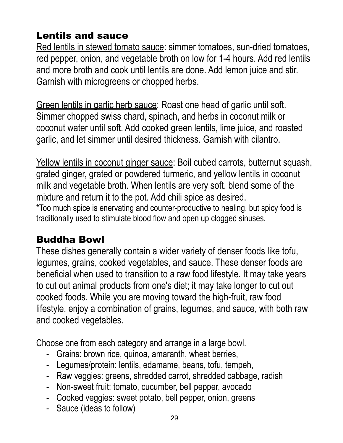# Lentils and sauce

Red lentils in stewed tomato sauce: simmer tomatoes, sun-dried tomatoes, red pepper, onion, and vegetable broth on low for 1-4 hours. Add red lentils and more broth and cook until lentils are done. Add lemon juice and stir. Garnish with microgreens or chopped herbs.

Green lentils in garlic herb sauce: Roast one head of garlic until soft. Simmer chopped swiss chard, spinach, and herbs in coconut milk or coconut water until soft. Add cooked green lentils, lime juice, and roasted garlic, and let simmer until desired thickness. Garnish with cilantro.

Yellow lentils in coconut ginger sauce: Boil cubed carrots, butternut squash, grated ginger, grated or powdered turmeric, and yellow lentils in coconut milk and vegetable broth. When lentils are very soft, blend some of the mixture and return it to the pot. Add chili spice as desired.

\*Too much spice is enervating and counter-productive to healing, but spicy food is traditionally used to stimulate blood flow and open up clogged sinuses.

#### Buddha Bowl

These dishes generally contain a wider variety of denser foods like tofu, legumes, grains, cooked vegetables, and sauce. These denser foods are beneficial when used to transition to a raw food lifestyle. It may take years to cut out animal products from one's diet; it may take longer to cut out cooked foods. While you are moving toward the high-fruit, raw food lifestyle, enjoy a combination of grains, legumes, and sauce, with both raw and cooked vegetables.

Choose one from each category and arrange in a large bowl.

- Grains: brown rice, quinoa, amaranth, wheat berries,
- Legumes/protein: lentils, edamame, beans, tofu, tempeh,
- Raw veggies: greens, shredded carrot, shredded cabbage, radish
- Non-sweet fruit: tomato, cucumber, bell pepper, avocado
- Cooked veggies: sweet potato, bell pepper, onion, greens
- Sauce (ideas to follow)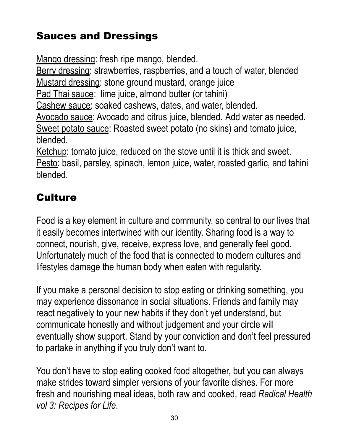# Sauces and Dressings

Mango dressing: fresh ripe mango, blended.

Berry dressing: strawberries, raspberries, and a touch of water, blended Mustard dressing: stone ground mustard, orange juice

Pad Thai sauce: lime juice, almond butter (or tahini)

Cashew sauce: soaked cashews, dates, and water, blended.

Avocado sauce: Avocado and citrus juice, blended. Add water as needed. Sweet potato sauce: Roasted sweet potato (no skins) and tomato juice, blended.

Ketchup: tomato juice, reduced on the stove until it is thick and sweet. Pesto: basil, parsley, spinach, lemon juice, water, roasted garlic, and tahini

blended.

# **Culture**

Food is a key element in culture and community, so central to our lives that it easily becomes intertwined with our identity. Sharing food is a way to connect, nourish, give, receive, express love, and generally feel good. Unfortunately much of the food that is connected to modern cultures and lifestyles damage the human body when eaten with regularity.

If you make a personal decision to stop eating or drinking something, you may experience dissonance in social situations. Friends and family may react negatively to your new habits if they don't yet understand, but communicate honestly and without judgement and your circle will eventually show support. Stand by your conviction and don't feel pressured to partake in anything if you truly don't want to.

You don't have to stop eating cooked food altogether, but you can always make strides toward simpler versions of your favorite dishes. For more fresh and nourishing meal ideas, both raw and cooked, read *Radical Health vol 3: Recipes for Life*.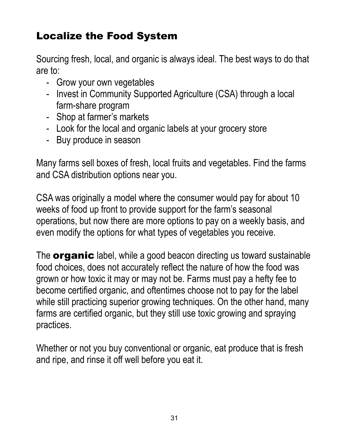# Localize the Food System

Sourcing fresh, local, and organic is always ideal. The best ways to do that are to:

- Grow your own vegetables
- Invest in Community Supported Agriculture (CSA) through a local farm-share program
- Shop at farmer's markets
- Look for the local and organic labels at your grocery store
- Buy produce in season

Many farms sell boxes of fresh, local fruits and vegetables. Find the farms and CSA distribution options near you.

CSA was originally a model where the consumer would pay for about 10 weeks of food up front to provide support for the farm's seasonal operations, but now there are more options to pay on a weekly basis, and even modify the options for what types of vegetables you receive.

The **organic** label, while a good beacon directing us toward sustainable food choices, does not accurately reflect the nature of how the food was grown or how toxic it may or may not be. Farms must pay a hefty fee to become certified organic, and oftentimes choose not to pay for the label while still practicing superior growing techniques. On the other hand, many farms are certified organic, but they still use toxic growing and spraying practices.

Whether or not you buy conventional or organic, eat produce that is fresh and ripe, and rinse it off well before you eat it.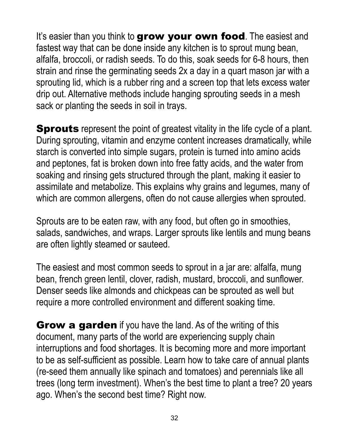It's easier than you think to grow your own food. The easiest and fastest way that can be done inside any kitchen is to sprout mung bean, alfalfa, broccoli, or radish seeds. To do this, soak seeds for 6-8 hours, then strain and rinse the germinating seeds 2x a day in a quart mason jar with a sprouting lid, which is a rubber ring and a screen top that lets excess water drip out. Alternative methods include hanging sprouting seeds in a mesh sack or planting the seeds in soil in trays.

**Sprouts** represent the point of greatest vitality in the life cycle of a plant. During sprouting, vitamin and enzyme content increases dramatically, while starch is converted into simple sugars, protein is turned into amino acids and peptones, fat is broken down into free fatty acids, and the water from soaking and rinsing gets structured through the plant, making it easier to assimilate and metabolize. This explains why grains and legumes, many of which are common allergens, often do not cause allergies when sprouted.

Sprouts are to be eaten raw, with any food, but often go in smoothies, salads, sandwiches, and wraps. Larger sprouts like lentils and mung beans are often lightly steamed or sauteed.

The easiest and most common seeds to sprout in a jar are: alfalfa, mung bean, french green lentil, clover, radish, mustard, broccoli, and sunflower. Denser seeds like almonds and chickpeas can be sprouted as well but require a more controlled environment and different soaking time.

**Grow a garden** if you have the land. As of the writing of this document, many parts of the world are experiencing supply chain interruptions and food shortages. It is becoming more and more important to be as self-sufficient as possible. Learn how to take care of annual plants (re-seed them annually like spinach and tomatoes) and perennials like all trees (long term investment). When's the best time to plant a tree? 20 years ago. When's the second best time? Right now.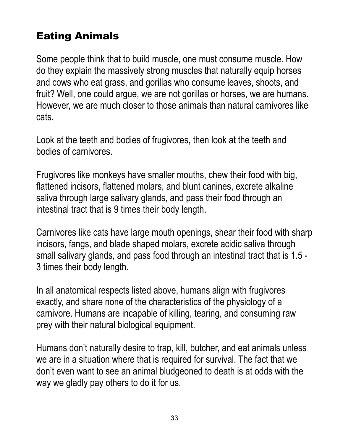## Eating Animals

Some people think that to build muscle, one must consume muscle. How do they explain the massively strong muscles that naturally equip horses and cows who eat grass, and gorillas who consume leaves, shoots, and fruit? Well, one could argue, we are not gorillas or horses, we are humans. However, we are much closer to those animals than natural carnivores like cats.

Look at the teeth and bodies of frugivores, then look at the teeth and bodies of carnivores.

Frugivores like monkeys have smaller mouths, chew their food with big, flattened incisors, flattened molars, and blunt canines, excrete alkaline saliva through large salivary glands, and pass their food through an intestinal tract that is 9 times their body length.

Carnivores like cats have large mouth openings, shear their food with sharp incisors, fangs, and blade shaped molars, excrete acidic saliva through small salivary glands, and pass food through an intestinal tract that is 1.5 - 3 times their body length.

In all anatomical respects listed above, humans align with frugivores exactly, and share none of the characteristics of the physiology of a carnivore. Humans are incapable of killing, tearing, and consuming raw prey with their natural biological equipment.

Humans don't naturally desire to trap, kill, butcher, and eat animals unless we are in a situation where that is required for survival. The fact that we don't even want to see an animal bludgeoned to death is at odds with the way we gladly pay others to do it for us.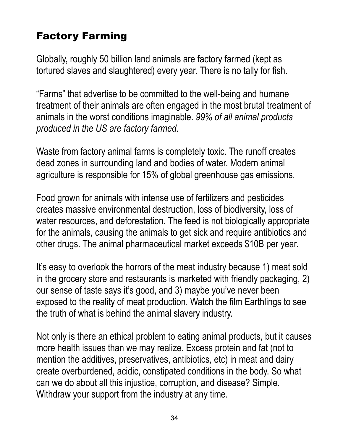# Factory Farming

Globally, roughly 50 billion land animals are factory farmed (kept as tortured slaves and slaughtered) every year. There is no tally for fish.

"Farms" that advertise to be committed to the well-being and humane treatment of their animals are often engaged in the most brutal treatment of animals in the worst conditions imaginable. *99% of all animal products produced in the US are factory farmed.*

Waste from factory animal farms is completely toxic. The runoff creates dead zones in surrounding land and bodies of water. Modern animal agriculture is responsible for 15% of global greenhouse gas emissions.

Food grown for animals with intense use of fertilizers and pesticides creates massive environmental destruction, loss of biodiversity, loss of water resources, and deforestation. The feed is not biologically appropriate for the animals, causing the animals to get sick and require antibiotics and other drugs. The animal pharmaceutical market exceeds \$10B per year.

It's easy to overlook the horrors of the meat industry because 1) meat sold in the grocery store and restaurants is marketed with friendly packaging, 2) our sense of taste says it's good, and 3) maybe you've never been exposed to the reality of meat production. Watch the film Earthlings to see the truth of what is behind the animal slavery industry.

Not only is there an ethical problem to eating animal products, but it causes more health issues than we may realize. Excess protein and fat (not to mention the additives, preservatives, antibiotics, etc) in meat and dairy create overburdened, acidic, constipated conditions in the body. So what can we do about all this injustice, corruption, and disease? Simple. Withdraw your support from the industry at any time.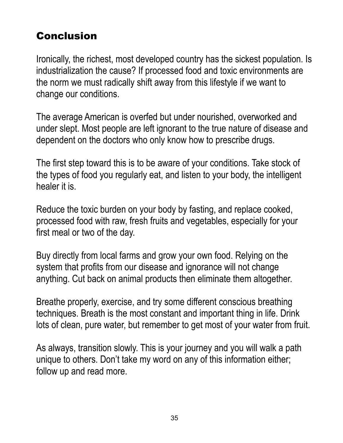# Conclusion

Ironically, the richest, most developed country has the sickest population. Is industrialization the cause? If processed food and toxic environments are the norm we must radically shift away from this lifestyle if we want to change our conditions.

The average American is overfed but under nourished, overworked and under slept. Most people are left ignorant to the true nature of disease and dependent on the doctors who only know how to prescribe drugs.

The first step toward this is to be aware of your conditions. Take stock of the types of food you regularly eat, and listen to your body, the intelligent healer it is.

Reduce the toxic burden on your body by fasting, and replace cooked, processed food with raw, fresh fruits and vegetables, especially for your first meal or two of the day.

Buy directly from local farms and grow your own food. Relying on the system that profits from our disease and ignorance will not change anything. Cut back on animal products then eliminate them altogether.

Breathe properly, exercise, and try some different conscious breathing techniques. Breath is the most constant and important thing in life. Drink lots of clean, pure water, but remember to get most of your water from fruit.

As always, transition slowly. This is your journey and you will walk a path unique to others. Don't take my word on any of this information either; follow up and read more.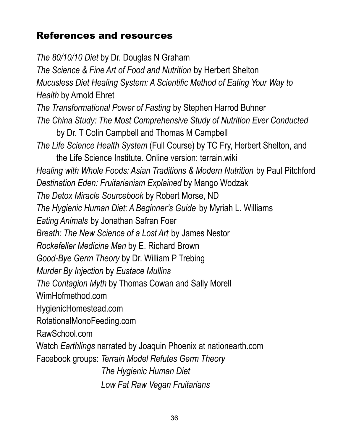#### References and resources

*The 80/10/10 Diet* by Dr. Douglas N Graham *The Science & Fine Art of Food and Nutrition* by Herbert Shelton *Mucusless Diet Healing System: A Scientific Method of Eating Your Way to Health* by Arnold Ehret *The Transformational Power of Fasting* by Stephen Harrod Buhner *The China Study: The Most Comprehensive Study of Nutrition Ever Conducted* by Dr. T Colin Campbell and Thomas M Campbell *The Life Science Health System* (Full Course) by TC Fry, Herbert Shelton, and the Life Science Institute. Online version: terrain.wiki *Healing with Whole Foods: Asian Traditions & Modern Nutrition* by Paul Pitchford *Destination Eden: Fruitarianism Explained* by Mango Wodzak *The Detox Miracle Sourcebook* by Robert Morse, ND *The Hygienic Human Diet: A Beginner's Guide* by Myriah L. Williams *Eating Animals* by Jonathan Safran Foer *Breath: The New Science of a Lost Art* by James Nestor *Rockefeller Medicine Men* by E. Richard Brown *Good-Bye Germ Theory* by Dr. William P Trebing *Murder By Injection* by *Eustace Mullins The Contagion Myth* by Thomas Cowan and Sally Morell WimHofmethod.com HygienicHomestead.com RotationalMonoFeeding.com RawSchool.com Watch *Earthlings* narrated by Joaquin Phoenix at nationearth.com Facebook groups: *Terrain Model Refutes Germ Theory The Hygienic Human Diet Low Fat Raw Vegan Fruitarians*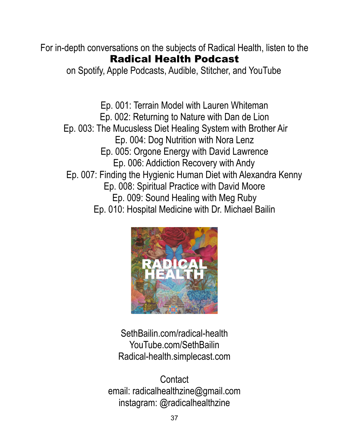For in-depth conversations on the subjects of Radical Health, listen to the Radical Health Podcast

on Spotify, Apple Podcasts, Audible, Stitcher, and YouTube

Ep. 001: Terrain Model with Lauren Whiteman Ep. 002: Returning to Nature with Dan de Lion Ep. 003: The Mucusless Diet Healing System with Brother Air Ep. 004: Dog Nutrition with Nora Lenz Ep. 005: Orgone Energy with David Lawrence Ep. 006: Addiction Recovery with Andy Ep. 007: Finding the Hygienic Human Diet with Alexandra Kenny Ep. 008: Spiritual Practice with David Moore Ep. 009: Sound Healing with Meg Ruby Ep. 010: Hospital Medicine with Dr. Michael Bailin



SethBailin.com/radical-health YouTube.com/SethBailin Radical-health.simplecast.com

**Contact** email: radicalhealthzine@gmail.com instagram: @radicalhealthzine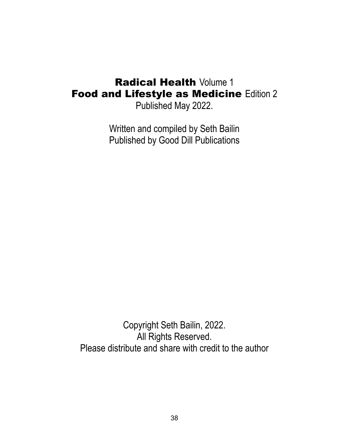#### **Radical Health Volume 1 Food and Lifestyle as Medicine Edition 2**

Published May 2022.

Written and compiled by Seth Bailin Published by Good Dill Publications

Copyright Seth Bailin, 2022. All Rights Reserved. Please distribute and share with credit to the author